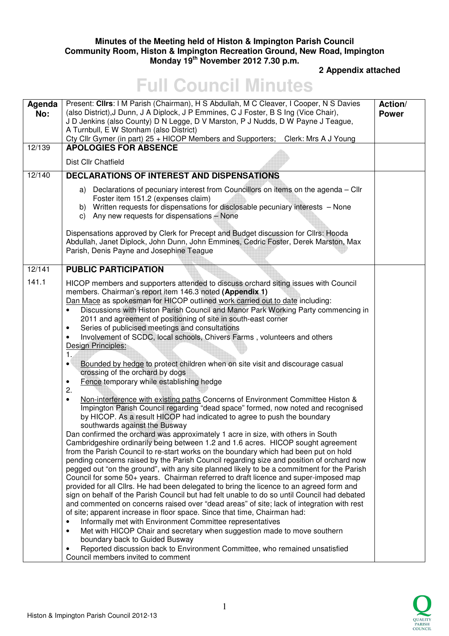## **Minutes of the Meeting held of Histon & Impington Parish Council Community Room, Histon & Impington Recreation Ground, New Road, Impington Monday 19th November 2012 7.30 p.m.**

## **2 Appendix attached**

## **Full Council Minutes**

| Agenda<br>No: | Present: Clirs: I M Parish (Chairman), H S Abdullah, M C Cleaver, I Cooper, N S Davies<br>(also District), J Dunn, J A Diplock, J P Emmines, C J Foster, B S Ing (Vice Chair),<br>J D Jenkins (also County) D N Legge, D V Marston, P J Nudds, D W Payne J Teague,<br>A Turnbull, E W Stonham (also District)<br>Cty Cllr Gymer (in part) 25 + HICOP Members and Supporters; Clerk: Mrs A J Young                                                                                                                                                                                                                                                                                                                                                                                                                                                                                                                                                                                                                                                                                                                                                                                                                                                                                                  | Action/<br><b>Power</b> |
|---------------|----------------------------------------------------------------------------------------------------------------------------------------------------------------------------------------------------------------------------------------------------------------------------------------------------------------------------------------------------------------------------------------------------------------------------------------------------------------------------------------------------------------------------------------------------------------------------------------------------------------------------------------------------------------------------------------------------------------------------------------------------------------------------------------------------------------------------------------------------------------------------------------------------------------------------------------------------------------------------------------------------------------------------------------------------------------------------------------------------------------------------------------------------------------------------------------------------------------------------------------------------------------------------------------------------|-------------------------|
| 12/139        | <b>APOLOGIES FOR ABSENCE</b>                                                                                                                                                                                                                                                                                                                                                                                                                                                                                                                                                                                                                                                                                                                                                                                                                                                                                                                                                                                                                                                                                                                                                                                                                                                                       |                         |
|               | Dist Cllr Chatfield                                                                                                                                                                                                                                                                                                                                                                                                                                                                                                                                                                                                                                                                                                                                                                                                                                                                                                                                                                                                                                                                                                                                                                                                                                                                                |                         |
| 12/140        | <b>DECLARATIONS OF INTEREST AND DISPENSATIONS</b>                                                                                                                                                                                                                                                                                                                                                                                                                                                                                                                                                                                                                                                                                                                                                                                                                                                                                                                                                                                                                                                                                                                                                                                                                                                  |                         |
|               | a) Declarations of pecuniary interest from Councillors on items on the agenda - Cllr<br>Foster item 151.2 (expenses claim)<br>b) Written requests for dispensations for disclosable pecuniary interests - None<br>c) Any new requests for dispensations - None                                                                                                                                                                                                                                                                                                                                                                                                                                                                                                                                                                                                                                                                                                                                                                                                                                                                                                                                                                                                                                     |                         |
|               | Dispensations approved by Clerk for Precept and Budget discussion for ClIrs: Hooda<br>Abdullah, Janet Diplock, John Dunn, John Emmines, Cedric Foster, Derek Marston, Max<br>Parish, Denis Payne and Josephine Teague                                                                                                                                                                                                                                                                                                                                                                                                                                                                                                                                                                                                                                                                                                                                                                                                                                                                                                                                                                                                                                                                              |                         |
| 12/141        | <b>PUBLIC PARTICIPATION</b>                                                                                                                                                                                                                                                                                                                                                                                                                                                                                                                                                                                                                                                                                                                                                                                                                                                                                                                                                                                                                                                                                                                                                                                                                                                                        |                         |
| 141.1         | HICOP members and supporters attended to discuss orchard siting issues with Council<br>members. Chairman's report item 146.3 noted (Appendix 1)<br>Dan Mace as spokesman for HICOP outlined work carried out to date including:<br>Discussions with Histon Parish Council and Manor Park Working Party commencing in<br>2011 and agreement of positioning of site in south-east corner<br>Series of publicised meetings and consultations<br>٠<br>Involvement of SCDC, local schools, Chivers Farms, volunteers and others<br>Design Principles:<br>1.<br>Bounded by hedge to protect children when on site visit and discourage casual<br>٠<br>crossing of the orchard by dogs<br>Fence temporary while establishing hedge<br>2.<br>Non-interference with existing paths Concerns of Environment Committee Histon &<br>$\bullet$<br>Impington Parish Council regarding "dead space" formed, now noted and recognised<br>by HICOP. As a result HICOP had indicated to agree to push the boundary<br>southwards against the Busway<br>Dan confirmed the orchard was approximately 1 acre in size, with others in South<br>Cambridgeshire ordinarily being between 1.2 and 1.6 acres. HICOP sought agreement<br>from the Parish Council to re-start works on the boundary which had been put on hold |                         |
|               | pending concerns raised by the Parish Council regarding size and position of orchard now<br>pegged out "on the ground", with any site planned likely to be a commitment for the Parish<br>Council for some 50+ years. Chairman referred to draft licence and super-imposed map<br>provided for all Cllrs. He had been delegated to bring the licence to an agreed form and<br>sign on behalf of the Parish Council but had felt unable to do so until Council had debated<br>and commented on concerns raised over "dead areas" of site; lack of integration with rest<br>of site; apparent increase in floor space. Since that time, Chairman had:<br>Informally met with Environment Committee representatives<br>Met with HICOP Chair and secretary when suggestion made to move southern<br>boundary back to Guided Busway<br>Reported discussion back to Environment Committee, who remained unsatisfied<br>Council members invited to comment                                                                                                                                                                                                                                                                                                                                                |                         |

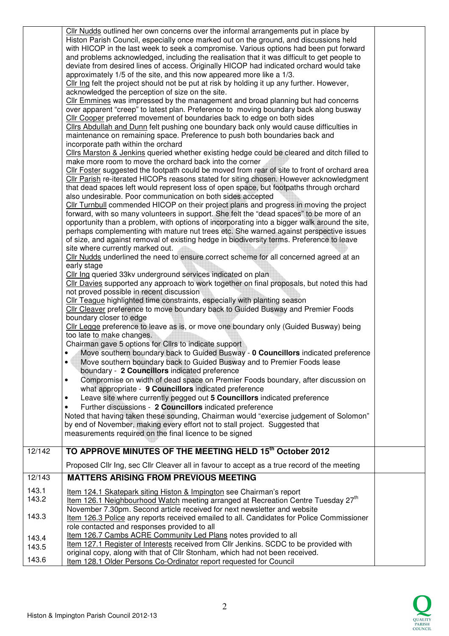| 12/142         | Cllr Nudds outlined her own concerns over the informal arrangements put in place by<br>Histon Parish Council, especially once marked out on the ground, and discussions held<br>with HICOP in the last week to seek a compromise. Various options had been put forward<br>and problems acknowledged, including the realisation that it was difficult to get people to<br>deviate from desired lines of access. Originally HICOP had indicated orchard would take<br>approximately 1/5 of the site, and this now appeared more like a 1/3.<br>Cllr Ing felt the project should not be put at risk by holding it up any further. However,<br>acknowledged the perception of size on the site.<br>Cllr Emmines was impressed by the management and broad planning but had concerns<br>over apparent "creep" to latest plan. Preference to moving boundary back along busway<br>Cllr Cooper preferred movement of boundaries back to edge on both sides<br>Cllrs Abdullah and Dunn felt pushing one boundary back only would cause difficulties in<br>maintenance on remaining space. Preference to push both boundaries back and<br>incorporate path within the orchard<br>Cllrs Marston & Jenkins queried whether existing hedge could be cleared and ditch filled to<br>make more room to move the orchard back into the corner<br>Cllr Foster suggested the footpath could be moved from rear of site to front of orchard area<br>Cllr Parish re-iterated HICOPs reasons stated for siting chosen. However acknowledgment<br>that dead spaces left would represent loss of open space, but footpaths through orchard<br>also undesirable. Poor communication on both sides accepted<br>Cllr Turnbull commended HICOP on their project plans and progress in moving the project<br>forward, with so many volunteers in support. She felt the "dead spaces" to be more of an<br>opportunity than a problem, with options of incorporating into a bigger walk around the site,<br>perhaps complementing with mature nut trees etc. She warned against perspective issues<br>of size, and against removal of existing hedge in biodiversity terms. Preference to leave<br>site where currently marked out.<br>Cllr Nudds underlined the need to ensure correct scheme for all concerned agreed at an<br>early stage<br>Cllr Ing queried 33kv underground services indicated on plan<br>Cllr Davies supported any approach to work together on final proposals, but noted this had<br>not proved possible in recent discussion<br>Cllr Teague highlighted time constraints, especially with planting season<br>Cllr Cleaver preference to move boundary back to Guided Busway and Premier Foods<br>boundary closer to edge<br>Cllr Legge preference to leave as is, or move one boundary only (Guided Busway) being<br>too late to make changes.<br>Chairman gave 5 options for Cllrs to indicate support<br>Move southern boundary back to Guided Busway - 0 Councillors indicated preference<br>Move southern boundary back to Guided Busway and to Premier Foods lease<br>٠<br>boundary - 2 Councillors indicated preference<br>Compromise on width of dead space on Premier Foods boundary, after discussion on<br>$\bullet$<br>what appropriate - 9 Councillors indicated preference<br>Leave site where currently pegged out 5 Councillors indicated preference<br>٠<br>Further discussions - 2 Councillors indicated preference<br>Noted that having taken these sounding, Chairman would "exercise judgement of Solomon"<br>by end of November, making every effort not to stall project. Suggested that<br>measurements required on the final licence to be signed<br>TO APPROVE MINUTES OF THE MEETING HELD 15th October 2012 |  |
|----------------|------------------------------------------------------------------------------------------------------------------------------------------------------------------------------------------------------------------------------------------------------------------------------------------------------------------------------------------------------------------------------------------------------------------------------------------------------------------------------------------------------------------------------------------------------------------------------------------------------------------------------------------------------------------------------------------------------------------------------------------------------------------------------------------------------------------------------------------------------------------------------------------------------------------------------------------------------------------------------------------------------------------------------------------------------------------------------------------------------------------------------------------------------------------------------------------------------------------------------------------------------------------------------------------------------------------------------------------------------------------------------------------------------------------------------------------------------------------------------------------------------------------------------------------------------------------------------------------------------------------------------------------------------------------------------------------------------------------------------------------------------------------------------------------------------------------------------------------------------------------------------------------------------------------------------------------------------------------------------------------------------------------------------------------------------------------------------------------------------------------------------------------------------------------------------------------------------------------------------------------------------------------------------------------------------------------------------------------------------------------------------------------------------------------------------------------------------------------------------------------------------------------------------------------------------------------------------------------------------------------------------------------------------------------------------------------------------------------------------------------------------------------------------------------------------------------------------------------------------------------------------------------------------------------------------------------------------------------------------------------------------------------------------------------------------------------------------------------------------------------------------------------------------------------------------------------------------------------------------------------------------------------------------------------------------------------------------------------------------------------------------------------------------------------------------------------------------------------------------------------------------------------------------------------------------------------------------------------------------------------------------------------------------------------------------------------------------------------------------------|--|
|                | Proposed Cllr Ing, sec Cllr Cleaver all in favour to accept as a true record of the meeting                                                                                                                                                                                                                                                                                                                                                                                                                                                                                                                                                                                                                                                                                                                                                                                                                                                                                                                                                                                                                                                                                                                                                                                                                                                                                                                                                                                                                                                                                                                                                                                                                                                                                                                                                                                                                                                                                                                                                                                                                                                                                                                                                                                                                                                                                                                                                                                                                                                                                                                                                                                                                                                                                                                                                                                                                                                                                                                                                                                                                                                                                                                                                                                                                                                                                                                                                                                                                                                                                                                                                                                                                                        |  |
| 12/143         | <b>MATTERS ARISING FROM PREVIOUS MEETING</b>                                                                                                                                                                                                                                                                                                                                                                                                                                                                                                                                                                                                                                                                                                                                                                                                                                                                                                                                                                                                                                                                                                                                                                                                                                                                                                                                                                                                                                                                                                                                                                                                                                                                                                                                                                                                                                                                                                                                                                                                                                                                                                                                                                                                                                                                                                                                                                                                                                                                                                                                                                                                                                                                                                                                                                                                                                                                                                                                                                                                                                                                                                                                                                                                                                                                                                                                                                                                                                                                                                                                                                                                                                                                                       |  |
| 143.1          | Item 124.1 Skatepark siting Histon & Impington see Chairman's report                                                                                                                                                                                                                                                                                                                                                                                                                                                                                                                                                                                                                                                                                                                                                                                                                                                                                                                                                                                                                                                                                                                                                                                                                                                                                                                                                                                                                                                                                                                                                                                                                                                                                                                                                                                                                                                                                                                                                                                                                                                                                                                                                                                                                                                                                                                                                                                                                                                                                                                                                                                                                                                                                                                                                                                                                                                                                                                                                                                                                                                                                                                                                                                                                                                                                                                                                                                                                                                                                                                                                                                                                                                               |  |
| 143.2          | Item 126.1 Neighbourhood Watch meeting arranged at Recreation Centre Tuesday 27 <sup>th</sup><br>November 7.30pm. Second article received for next newsletter and website                                                                                                                                                                                                                                                                                                                                                                                                                                                                                                                                                                                                                                                                                                                                                                                                                                                                                                                                                                                                                                                                                                                                                                                                                                                                                                                                                                                                                                                                                                                                                                                                                                                                                                                                                                                                                                                                                                                                                                                                                                                                                                                                                                                                                                                                                                                                                                                                                                                                                                                                                                                                                                                                                                                                                                                                                                                                                                                                                                                                                                                                                                                                                                                                                                                                                                                                                                                                                                                                                                                                                          |  |
| 143.3          | Item 126.3 Police any reports received emailed to all. Candidates for Police Commissioner<br>role contacted and responses provided to all<br>Item 126.7 Cambs ACRE Community Led Plans notes provided to all                                                                                                                                                                                                                                                                                                                                                                                                                                                                                                                                                                                                                                                                                                                                                                                                                                                                                                                                                                                                                                                                                                                                                                                                                                                                                                                                                                                                                                                                                                                                                                                                                                                                                                                                                                                                                                                                                                                                                                                                                                                                                                                                                                                                                                                                                                                                                                                                                                                                                                                                                                                                                                                                                                                                                                                                                                                                                                                                                                                                                                                                                                                                                                                                                                                                                                                                                                                                                                                                                                                       |  |
| 143.4<br>143.5 | Item 127.1 Register of Interests received from CIIr Jenkins. SCDC to be provided with                                                                                                                                                                                                                                                                                                                                                                                                                                                                                                                                                                                                                                                                                                                                                                                                                                                                                                                                                                                                                                                                                                                                                                                                                                                                                                                                                                                                                                                                                                                                                                                                                                                                                                                                                                                                                                                                                                                                                                                                                                                                                                                                                                                                                                                                                                                                                                                                                                                                                                                                                                                                                                                                                                                                                                                                                                                                                                                                                                                                                                                                                                                                                                                                                                                                                                                                                                                                                                                                                                                                                                                                                                              |  |
|                | original copy, along with that of Cllr Stonham, which had not been received.                                                                                                                                                                                                                                                                                                                                                                                                                                                                                                                                                                                                                                                                                                                                                                                                                                                                                                                                                                                                                                                                                                                                                                                                                                                                                                                                                                                                                                                                                                                                                                                                                                                                                                                                                                                                                                                                                                                                                                                                                                                                                                                                                                                                                                                                                                                                                                                                                                                                                                                                                                                                                                                                                                                                                                                                                                                                                                                                                                                                                                                                                                                                                                                                                                                                                                                                                                                                                                                                                                                                                                                                                                                       |  |
| 143.6          | Item 128.1 Older Persons Co-Ordinator report requested for Council                                                                                                                                                                                                                                                                                                                                                                                                                                                                                                                                                                                                                                                                                                                                                                                                                                                                                                                                                                                                                                                                                                                                                                                                                                                                                                                                                                                                                                                                                                                                                                                                                                                                                                                                                                                                                                                                                                                                                                                                                                                                                                                                                                                                                                                                                                                                                                                                                                                                                                                                                                                                                                                                                                                                                                                                                                                                                                                                                                                                                                                                                                                                                                                                                                                                                                                                                                                                                                                                                                                                                                                                                                                                 |  |

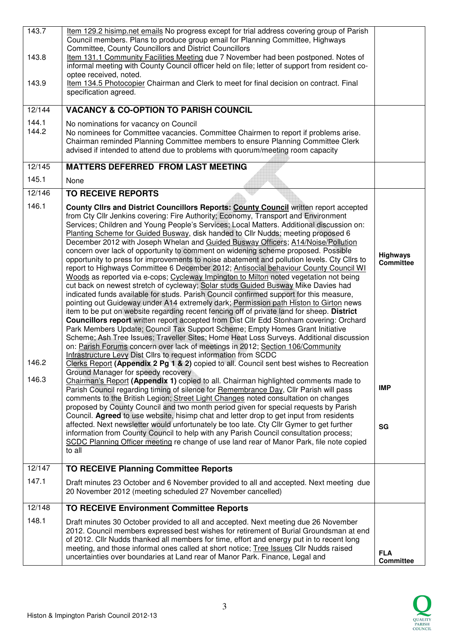| 143.7<br>143.8<br>143.9<br>12/144<br>144.1<br>144.2 | Item 129.2 hisimp.net emails No progress except for trial address covering group of Parish<br>Council members. Plans to produce group email for Planning Committee, Highways<br>Committee, County Councillors and District Councillors<br>Item 131.1 Community Facilities Meeting due 7 November had been postponed. Notes of<br>informal meeting with County Council officer held on file; letter of support from resident co-<br>optee received, noted.<br>Item 134.5 Photocopier Chairman and Clerk to meet for final decision on contract. Final<br>specification agreed.<br><b>VACANCY &amp; CO-OPTION TO PARISH COUNCIL</b><br>No nominations for vacancy on Council<br>No nominees for Committee vacancies. Committee Chairmen to report if problems arise.<br>Chairman reminded Planning Committee members to ensure Planning Committee Clerk                                                                                                                                                                                                                                                                                                                                                                                                                                                                                                                                                                                                                                                                                                                                                                                                                                                                                                                                                                                                                                                                                                                                                                                                                                                                                                                                                                                                                                                                                                                                                    |                                                         |
|-----------------------------------------------------|----------------------------------------------------------------------------------------------------------------------------------------------------------------------------------------------------------------------------------------------------------------------------------------------------------------------------------------------------------------------------------------------------------------------------------------------------------------------------------------------------------------------------------------------------------------------------------------------------------------------------------------------------------------------------------------------------------------------------------------------------------------------------------------------------------------------------------------------------------------------------------------------------------------------------------------------------------------------------------------------------------------------------------------------------------------------------------------------------------------------------------------------------------------------------------------------------------------------------------------------------------------------------------------------------------------------------------------------------------------------------------------------------------------------------------------------------------------------------------------------------------------------------------------------------------------------------------------------------------------------------------------------------------------------------------------------------------------------------------------------------------------------------------------------------------------------------------------------------------------------------------------------------------------------------------------------------------------------------------------------------------------------------------------------------------------------------------------------------------------------------------------------------------------------------------------------------------------------------------------------------------------------------------------------------------------------------------------------------------------------------------------------------------|---------------------------------------------------------|
|                                                     | advised if intended to attend due to problems with quorum/meeting room capacity                                                                                                                                                                                                                                                                                                                                                                                                                                                                                                                                                                                                                                                                                                                                                                                                                                                                                                                                                                                                                                                                                                                                                                                                                                                                                                                                                                                                                                                                                                                                                                                                                                                                                                                                                                                                                                                                                                                                                                                                                                                                                                                                                                                                                                                                                                                          |                                                         |
| 12/145                                              | <b>MATTERS DEFERRED FROM LAST MEETING</b>                                                                                                                                                                                                                                                                                                                                                                                                                                                                                                                                                                                                                                                                                                                                                                                                                                                                                                                                                                                                                                                                                                                                                                                                                                                                                                                                                                                                                                                                                                                                                                                                                                                                                                                                                                                                                                                                                                                                                                                                                                                                                                                                                                                                                                                                                                                                                                |                                                         |
| 145.1                                               | None                                                                                                                                                                                                                                                                                                                                                                                                                                                                                                                                                                                                                                                                                                                                                                                                                                                                                                                                                                                                                                                                                                                                                                                                                                                                                                                                                                                                                                                                                                                                                                                                                                                                                                                                                                                                                                                                                                                                                                                                                                                                                                                                                                                                                                                                                                                                                                                                     |                                                         |
| 12/146                                              | <b>TO RECEIVE REPORTS</b>                                                                                                                                                                                                                                                                                                                                                                                                                                                                                                                                                                                                                                                                                                                                                                                                                                                                                                                                                                                                                                                                                                                                                                                                                                                                                                                                                                                                                                                                                                                                                                                                                                                                                                                                                                                                                                                                                                                                                                                                                                                                                                                                                                                                                                                                                                                                                                                |                                                         |
| 146.1<br>146.2<br>146.3                             | County Clirs and District Councillors Reports: County Council written report accepted<br>from Cty Cllr Jenkins covering: Fire Authority; Economy, Transport and Environment<br>Services; Children and Young People's Services; Local Matters. Additional discussion on:<br>Planting Scheme for Guided Busway, disk handed to Cllr Nudds; meeting proposed 6<br>December 2012 with Joseph Whelan and Guided Busway Officers; A14/Noise/Pollution<br>concern over lack of opportunity to comment on widening scheme proposed. Possible<br>opportunity to press for improvements to noise abatement and pollution levels. Cty Cllrs to<br>report to Highways Committee 6 December 2012; Antisocial behaviour County Council WI<br>Woods as reported via e-cops; Cycleway Impington to Milton noted vegetation not being<br>cut back on newest stretch of cycleway; Solar studs Guided Busway Mike Davies had<br>indicated funds available for studs. Parish Council confirmed support for this measure,<br>pointing out Guideway under A14 extremely dark; Permission path Histon to Girton news<br>item to be put on website regarding recent fencing off of private land for sheep. District<br>Councillors report written report accepted from Dist Cllr Edd Stonham covering: Orchard<br>Park Members Update; Council Tax Support Scheme; Empty Homes Grant Initiative<br>Scheme; Ash Tree Issues; Traveller Sites; Home Heat Loss Surveys. Additional discussion<br>on: Parish Forums concern over lack of meetings in 2012; Section 106/Community<br>Infrastructure Levy Dist Cllrs to request information from SCDC<br>Clerks Report (Appendix 2 Pg 1 & 2) copied to all. Council sent best wishes to Recreation<br>Ground Manager for speedy recovery<br>Chairman's Report (Appendix 1) copied to all. Chairman highlighted comments made to<br>Parish Council regarding timing of silence for Remembrance Day, Cllr Parish will pass<br>comments to the British Legion; Street Light Changes noted consultation on changes<br>proposed by County Council and two month period given for special requests by Parish<br>Council. Agreed to use website, hisimp chat and letter drop to get input from residents<br>affected. Next newsletter would unfortunately be too late. Cty Cllr Gymer to get further<br>information from County Council to help with any Parish Council consultation process; | <b>Highways</b><br><b>Committee</b><br><b>IMP</b><br>SG |
|                                                     | SCDC Planning Officer meeting re change of use land rear of Manor Park, file note copied<br>to all                                                                                                                                                                                                                                                                                                                                                                                                                                                                                                                                                                                                                                                                                                                                                                                                                                                                                                                                                                                                                                                                                                                                                                                                                                                                                                                                                                                                                                                                                                                                                                                                                                                                                                                                                                                                                                                                                                                                                                                                                                                                                                                                                                                                                                                                                                       |                                                         |
|                                                     |                                                                                                                                                                                                                                                                                                                                                                                                                                                                                                                                                                                                                                                                                                                                                                                                                                                                                                                                                                                                                                                                                                                                                                                                                                                                                                                                                                                                                                                                                                                                                                                                                                                                                                                                                                                                                                                                                                                                                                                                                                                                                                                                                                                                                                                                                                                                                                                                          |                                                         |
| $\frac{1}{2}$ /147                                  | <b>TO RECEIVE Planning Committee Reports</b>                                                                                                                                                                                                                                                                                                                                                                                                                                                                                                                                                                                                                                                                                                                                                                                                                                                                                                                                                                                                                                                                                                                                                                                                                                                                                                                                                                                                                                                                                                                                                                                                                                                                                                                                                                                                                                                                                                                                                                                                                                                                                                                                                                                                                                                                                                                                                             |                                                         |
| 147.1                                               | Draft minutes 23 October and 6 November provided to all and accepted. Next meeting due<br>20 November 2012 (meeting scheduled 27 November cancelled)                                                                                                                                                                                                                                                                                                                                                                                                                                                                                                                                                                                                                                                                                                                                                                                                                                                                                                                                                                                                                                                                                                                                                                                                                                                                                                                                                                                                                                                                                                                                                                                                                                                                                                                                                                                                                                                                                                                                                                                                                                                                                                                                                                                                                                                     |                                                         |
| 12/148                                              | <b>TO RECEIVE Environment Committee Reports</b>                                                                                                                                                                                                                                                                                                                                                                                                                                                                                                                                                                                                                                                                                                                                                                                                                                                                                                                                                                                                                                                                                                                                                                                                                                                                                                                                                                                                                                                                                                                                                                                                                                                                                                                                                                                                                                                                                                                                                                                                                                                                                                                                                                                                                                                                                                                                                          |                                                         |
| 148.1                                               | Draft minutes 30 October provided to all and accepted. Next meeting due 26 November<br>2012. Council members expressed best wishes for retirement of Burial Groundsman at end<br>of 2012. Cllr Nudds thanked all members for time, effort and energy put in to recent long<br>meeting, and those informal ones called at short notice; Tree Issues Cllr Nudds raised<br>uncertainties over boundaries at Land rear of Manor Park. Finance, Legal and                                                                                                                                                                                                                                                                                                                                                                                                                                                                                                                                                                                                                                                                                                                                                                                                                                                                                                                                                                                                                                                                                                                                                                                                                                                                                                                                                                                                                                                                                                                                                                                                                                                                                                                                                                                                                                                                                                                                                     | <b>FLA</b><br><b>Committee</b>                          |

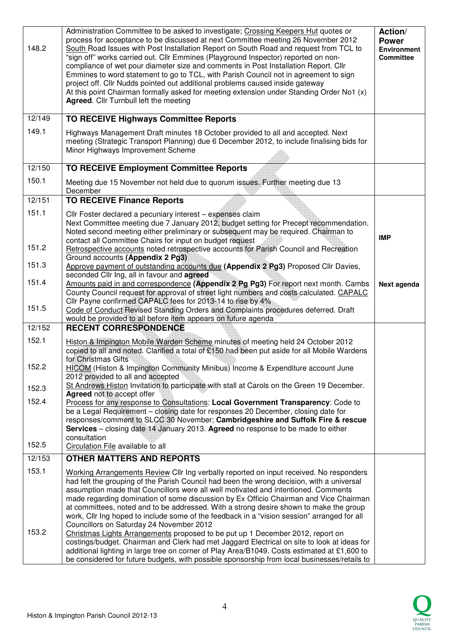| 148.2              | Administration Committee to be asked to investigate; Crossing Keepers Hut quotes or<br>process for acceptance to be discussed at next Committee meeting 26 November 2012<br>South Road Issues with Post Installation Report on South Road and request from TCL to<br>"sign off" works carried out. Cllr Emmines (Playground Inspector) reported on non-<br>compliance of wet pour diameter size and comments in Post Installation Report. Cllr<br>Emmines to word statement to go to TCL, with Parish Council not in agreement to sign<br>project off. Cllr Nudds pointed out additional problems caused inside gateway<br>At this point Chairman formally asked for meeting extension under Standing Order No1 (x)<br><b>Agreed.</b> Cllr Turnbull left the meeting | Action/<br><b>Power</b><br><b>Environment</b><br><b>Committee</b> |
|--------------------|----------------------------------------------------------------------------------------------------------------------------------------------------------------------------------------------------------------------------------------------------------------------------------------------------------------------------------------------------------------------------------------------------------------------------------------------------------------------------------------------------------------------------------------------------------------------------------------------------------------------------------------------------------------------------------------------------------------------------------------------------------------------|-------------------------------------------------------------------|
| $\frac{1}{2}$ /149 | <b>TO RECEIVE Highways Committee Reports</b>                                                                                                                                                                                                                                                                                                                                                                                                                                                                                                                                                                                                                                                                                                                         |                                                                   |
| 149.1              | Highways Management Draft minutes 18 October provided to all and accepted. Next<br>meeting (Strategic Transport Planning) due 6 December 2012, to include finalising bids for<br>Minor Highways Improvement Scheme                                                                                                                                                                                                                                                                                                                                                                                                                                                                                                                                                   |                                                                   |
| 12/150             | <b>TO RECEIVE Employment Committee Reports</b>                                                                                                                                                                                                                                                                                                                                                                                                                                                                                                                                                                                                                                                                                                                       |                                                                   |
| 150.1              | Meeting due 15 November not held due to quorum issues. Further meeting due 13<br>December                                                                                                                                                                                                                                                                                                                                                                                                                                                                                                                                                                                                                                                                            |                                                                   |
| 12/151             | <b>TO RECEIVE Finance Reports</b>                                                                                                                                                                                                                                                                                                                                                                                                                                                                                                                                                                                                                                                                                                                                    |                                                                   |
| 151.1              | Cllr Foster declared a pecuniary interest - expenses claim<br>Next Committee meeting due 7 January 2012, budget setting for Precept recommendation.<br>Noted second meeting either preliminary or subsequent may be required. Chairman to<br>contact all Committee Chairs for input on budget request                                                                                                                                                                                                                                                                                                                                                                                                                                                                | <b>IMP</b>                                                        |
| 151.2              | Retrospective accounts noted retrospective accounts for Parish Council and Recreation                                                                                                                                                                                                                                                                                                                                                                                                                                                                                                                                                                                                                                                                                |                                                                   |
| 151.3              | Ground accounts (Appendix 2 Pg3)<br>Approve payment of outstanding accounts due (Appendix 2 Pg3) Proposed Cllr Davies,<br>seconded Cllr Ing, all in favour and agreed                                                                                                                                                                                                                                                                                                                                                                                                                                                                                                                                                                                                |                                                                   |
| 151.4              | Amounts paid in and correspondence (Appendix 2 Pg Pg3) For report next month. Cambs<br>County Council request for approval of street light numbers and costs calculated. CAPALC                                                                                                                                                                                                                                                                                                                                                                                                                                                                                                                                                                                      | Next agenda                                                       |
| 151.5              | Cllr Payne confirmed CAPALC fees for 2013-14 to rise by 4%<br>Code of Conduct Revised Standing Orders and Complaints procedures deferred. Draft<br>would be provided to all before item appears on future agenda                                                                                                                                                                                                                                                                                                                                                                                                                                                                                                                                                     |                                                                   |
| 12/152             | <b>RECENT CORRESPONDENCE</b>                                                                                                                                                                                                                                                                                                                                                                                                                                                                                                                                                                                                                                                                                                                                         |                                                                   |
| 152.1              | Histon & Impington Mobile Warden Scheme minutes of meeting held 24 October 2012<br>copied to all and noted. Clarified a total of £150 had been put aside for all Mobile Wardens                                                                                                                                                                                                                                                                                                                                                                                                                                                                                                                                                                                      |                                                                   |
| 152.2              | for Christmas Gifts<br>HICOM (Histon & Impington Community Minibus) Income & Expenditure account June<br>2012 provided to all and accepted                                                                                                                                                                                                                                                                                                                                                                                                                                                                                                                                                                                                                           |                                                                   |
| 152.3              | St Andrews Histon Invitation to participate with stall at Carols on the Green 19 December.                                                                                                                                                                                                                                                                                                                                                                                                                                                                                                                                                                                                                                                                           |                                                                   |
| 152.4              | Agreed not to accept offer<br>Process for any response to Consultations: Local Government Transparency: Code to                                                                                                                                                                                                                                                                                                                                                                                                                                                                                                                                                                                                                                                      |                                                                   |
|                    | be a Legal Requirement - closing date for responses 20 December, closing date for<br>responses/comment to SLCC 30 November; Cambridgeshire and Suffolk Fire & rescue                                                                                                                                                                                                                                                                                                                                                                                                                                                                                                                                                                                                 |                                                                   |
|                    | Services - closing date 14 January 2013. Agreed no response to be made to either<br>consultation                                                                                                                                                                                                                                                                                                                                                                                                                                                                                                                                                                                                                                                                     |                                                                   |
| 152.5              | Circulation File available to all                                                                                                                                                                                                                                                                                                                                                                                                                                                                                                                                                                                                                                                                                                                                    |                                                                   |
| 12/153             | <b>OTHER MATTERS AND REPORTS</b>                                                                                                                                                                                                                                                                                                                                                                                                                                                                                                                                                                                                                                                                                                                                     |                                                                   |
| 153.1              | Working Arrangements Review Cllr Ing verbally reported on input received. No responders                                                                                                                                                                                                                                                                                                                                                                                                                                                                                                                                                                                                                                                                              |                                                                   |
| 153.2              | had felt the grouping of the Parish Council had been the wrong decision, with a universal<br>assumption made that Councillors were all well motivated and intentioned. Comments<br>made regarding domination of some discussion by Ex Officio Chairman and Vice Chairman<br>at committees, noted and to be addressed. With a strong desire shown to make the group<br>work, Cllr Ing hoped to include some of the feedback in a "vision session" arranged for all<br>Councillors on Saturday 24 November 2012<br>Christmas Lights Arrangements proposed to be put up 1 December 2012, report on<br>costings/budget. Chairman and Clerk had met Jaggard Electrical on site to look at ideas for                                                                       |                                                                   |
|                    | additional lighting in large tree on corner of Play Area/B1049. Costs estimated at £1,600 to<br>be considered for future budgets, with possible sponsorship from local businesses/retails to                                                                                                                                                                                                                                                                                                                                                                                                                                                                                                                                                                         |                                                                   |